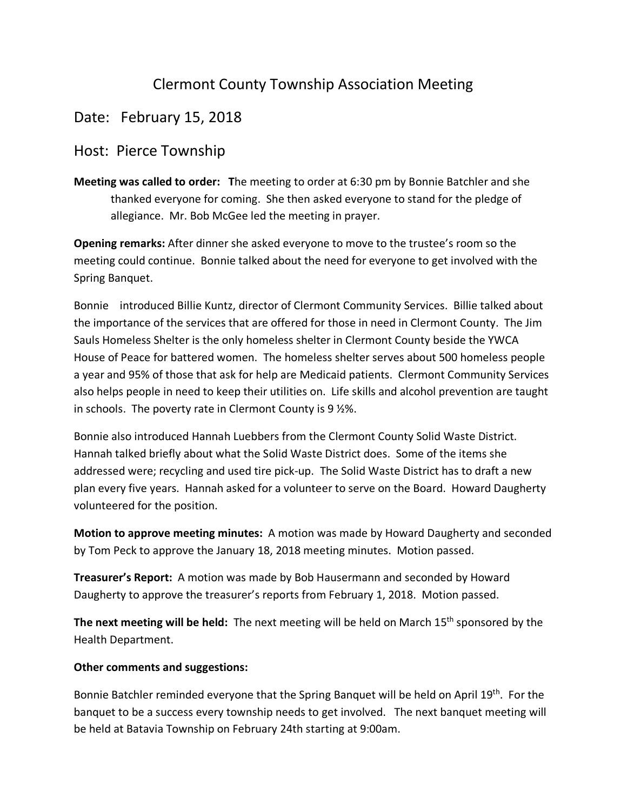## Clermont County Township Association Meeting

## Date: February 15, 2018

## Host: Pierce Township

**Meeting was called to order: T**he meeting to order at 6:30 pm by Bonnie Batchler and she thanked everyone for coming. She then asked everyone to stand for the pledge of allegiance. Mr. Bob McGee led the meeting in prayer.

**Opening remarks:** After dinner she asked everyone to move to the trustee's room so the meeting could continue. Bonnie talked about the need for everyone to get involved with the Spring Banquet.

Bonnie introduced Billie Kuntz, director of Clermont Community Services. Billie talked about the importance of the services that are offered for those in need in Clermont County. The Jim Sauls Homeless Shelter is the only homeless shelter in Clermont County beside the YWCA House of Peace for battered women. The homeless shelter serves about 500 homeless people a year and 95% of those that ask for help are Medicaid patients. Clermont Community Services also helps people in need to keep their utilities on. Life skills and alcohol prevention are taught in schools. The poverty rate in Clermont County is 9 ½%.

Bonnie also introduced Hannah Luebbers from the Clermont County Solid Waste District. Hannah talked briefly about what the Solid Waste District does. Some of the items she addressed were; recycling and used tire pick-up. The Solid Waste District has to draft a new plan every five years. Hannah asked for a volunteer to serve on the Board. Howard Daugherty volunteered for the position.

**Motion to approve meeting minutes:** A motion was made by Howard Daugherty and seconded by Tom Peck to approve the January 18, 2018 meeting minutes. Motion passed.

**Treasurer's Report:** A motion was made by Bob Hausermann and seconded by Howard Daugherty to approve the treasurer's reports from February 1, 2018. Motion passed.

**The next meeting will be held:** The next meeting will be held on March 15th sponsored by the Health Department.

## **Other comments and suggestions:**

Bonnie Batchler reminded everyone that the Spring Banquet will be held on April 19<sup>th</sup>. For the banquet to be a success every township needs to get involved. The next banquet meeting will be held at Batavia Township on February 24th starting at 9:00am.